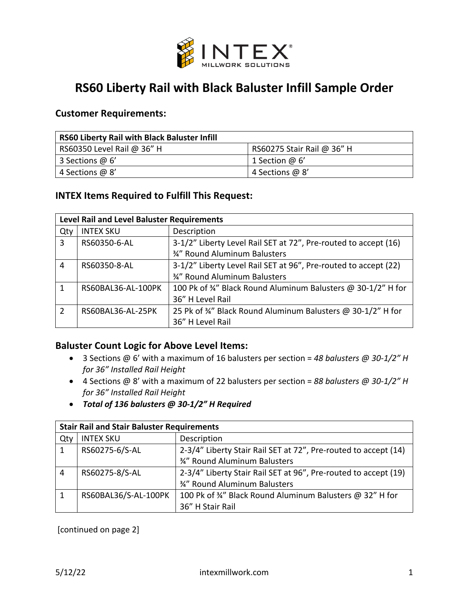

# **RS60 Liberty Rail with Black Baluster Infill Sample Order**

#### **Customer Requirements:**

| <b>RS60 Liberty Rail with Black Baluster Infill</b> |                            |  |  |  |  |
|-----------------------------------------------------|----------------------------|--|--|--|--|
| RS60350 Level Rail @ 36" H                          | RS60275 Stair Rail @ 36" H |  |  |  |  |
| 3 Sections @ 6'                                     | 1 Section $@6'$            |  |  |  |  |
| 4 Sections @ 8'                                     | 4 Sections @ 8'            |  |  |  |  |

### **INTEX Items Required to Fulfill This Request:**

| Level Rail and Level Baluster Requirements |                    |                                                                 |  |  |  |
|--------------------------------------------|--------------------|-----------------------------------------------------------------|--|--|--|
| Qty                                        | <b>INTEX SKU</b>   | Description                                                     |  |  |  |
| 3                                          | RS60350-6-AL       | 3-1/2" Liberty Level Rail SET at 72", Pre-routed to accept (16) |  |  |  |
|                                            |                    | 3/4" Round Aluminum Balusters                                   |  |  |  |
| 4                                          | RS60350-8-AL       | 3-1/2" Liberty Level Rail SET at 96", Pre-routed to accept (22) |  |  |  |
|                                            |                    | 3/4" Round Aluminum Balusters                                   |  |  |  |
| 1                                          | RS60BAL36-AL-100PK | 100 Pk of 34" Black Round Aluminum Balusters @ 30-1/2" H for    |  |  |  |
|                                            |                    | 36" H Level Rail                                                |  |  |  |
| $\mathcal{P}$                              | RS60BAL36-AL-25PK  | 25 Pk of 34" Black Round Aluminum Balusters @ 30-1/2" H for     |  |  |  |
|                                            |                    | 36" H Level Rail                                                |  |  |  |

### **Baluster Count Logic for Above Level Items:**

- 3 Sections @ 6' with a maximum of 16 balusters per section = *48 balusters @ 30-1/2" H for 36" Installed Rail Height*
- 4 Sections @ 8' with a maximum of 22 balusters per section = *88 balusters @ 30-1/2" H for 36" Installed Rail Height*
- *Total of 136 balusters @ 30-1/2" H Required*

| <b>Stair Rail and Stair Baluster Requirements</b> |                      |                                                                 |  |  |  |
|---------------------------------------------------|----------------------|-----------------------------------------------------------------|--|--|--|
| Qty                                               | <b>INTEX SKU</b>     | Description                                                     |  |  |  |
| -1                                                | RS60275-6/S-AL       | 2-3/4" Liberty Stair Rail SET at 72", Pre-routed to accept (14) |  |  |  |
|                                                   |                      | 3/4" Round Aluminum Balusters                                   |  |  |  |
| $\overline{4}$                                    | RS60275-8/S-AL       | 2-3/4" Liberty Stair Rail SET at 96", Pre-routed to accept (19) |  |  |  |
|                                                   |                      | 3/4" Round Aluminum Balusters                                   |  |  |  |
| $\mathbf{1}$                                      | RS60BAL36/S-AL-100PK | 100 Pk of 34" Black Round Aluminum Balusters @ 32" H for        |  |  |  |
|                                                   |                      | 36" H Stair Rail                                                |  |  |  |

[continued on page 2]